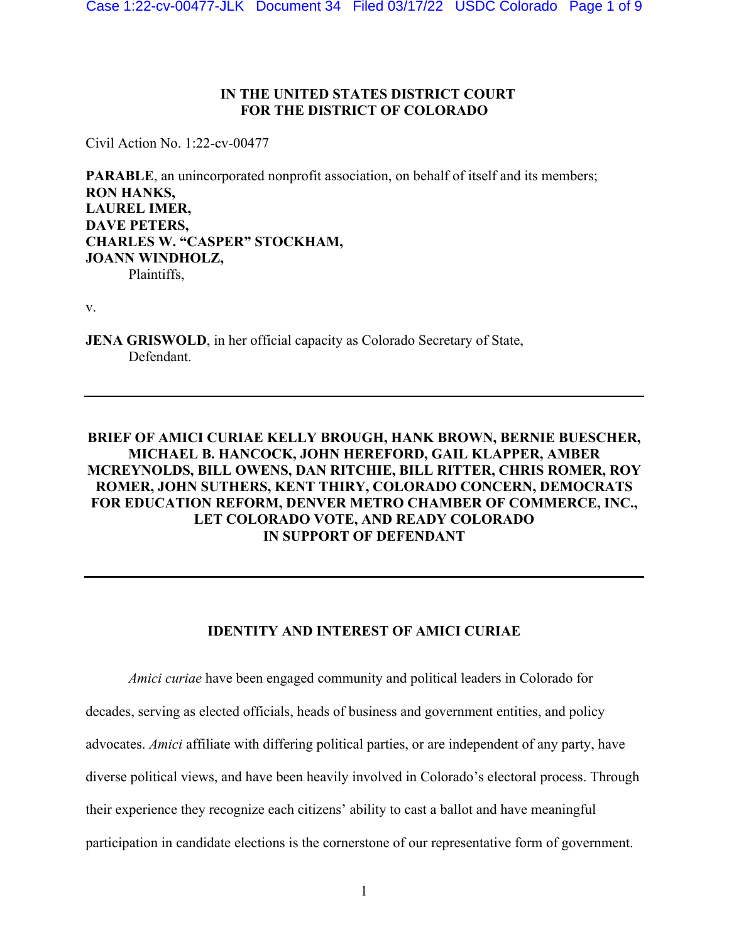## **IN THE UNITED STATES DISTRICT COURT FOR THE DISTRICT OF COLORADO**

Civil Action No. 1:22-cv-00477

**PARABLE**, an unincorporated nonprofit association, on behalf of itself and its members; **RON HANKS, LAUREL IMER, DAVE PETERS, CHARLES W. "CASPER" STOCKHAM, JOANN WINDHOLZ,**

Plaintiffs,

v.

**JENA GRISWOLD**, in her official capacity as Colorado Secretary of State, Defendant.

## **BRIEF OF AMICI CURIAE KELLY BROUGH, HANK BROWN, BERNIE BUESCHER, MICHAEL B. HANCOCK, JOHN HEREFORD, GAIL KLAPPER, AMBER MCREYNOLDS, BILL OWENS, DAN RITCHIE, BILL RITTER, CHRIS ROMER, ROY ROMER, JOHN SUTHERS, KENT THIRY, COLORADO CONCERN, DEMOCRATS FOR EDUCATION REFORM, DENVER METRO CHAMBER OF COMMERCE, INC., LET COLORADO VOTE, AND READY COLORADO IN SUPPORT OF DEFENDANT**

## **IDENTITY AND INTEREST OF AMICI CURIAE**

*Amici curiae* have been engaged community and political leaders in Colorado for decades, serving as elected officials, heads of business and government entities, and policy advocates. *Amici* affiliate with differing political parties, or are independent of any party, have diverse political views, and have been heavily involved in Colorado's electoral process. Through their experience they recognize each citizens' ability to cast a ballot and have meaningful participation in candidate elections is the cornerstone of our representative form of government.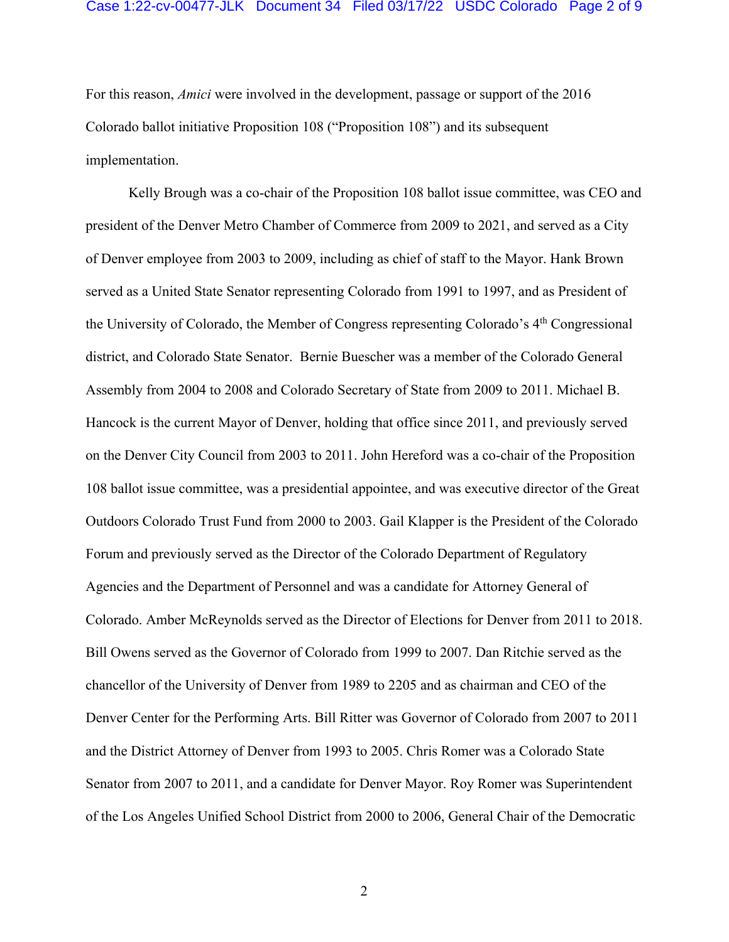### Case 1:22-cv-00477-JLK Document 34 Filed 03/17/22 USDC Colorado Page 2 of 9

For this reason, *Amici* were involved in the development, passage or support of the 2016 Colorado ballot initiative Proposition 108 ("Proposition 108") and its subsequent implementation.

Kelly Brough was a co-chair of the Proposition 108 ballot issue committee, was CEO and president of the Denver Metro Chamber of Commerce from 2009 to 2021, and served as a City of Denver employee from 2003 to 2009, including as chief of staff to the Mayor. Hank Brown served as a United State Senator representing Colorado from 1991 to 1997, and as President of the University of Colorado, the Member of Congress representing Colorado's  $4<sup>th</sup>$  Congressional district, and Colorado State Senator. Bernie Buescher was a member of the Colorado General Assembly from 2004 to 2008 and Colorado Secretary of State from 2009 to 2011. Michael B. Hancock is the current Mayor of Denver, holding that office since 2011, and previously served on the Denver City Council from 2003 to 2011. John Hereford was a co-chair of the Proposition 108 ballot issue committee, was a presidential appointee, and was executive director of the Great Outdoors Colorado Trust Fund from 2000 to 2003. Gail Klapper is the President of the Colorado Forum and previously served as the Director of the Colorado Department of Regulatory Agencies and the Department of Personnel and was a candidate for Attorney General of Colorado. Amber McReynolds served as the Director of Elections for Denver from 2011 to 2018. Bill Owens served as the Governor of Colorado from 1999 to 2007. Dan Ritchie served as the chancellor of the University of Denver from 1989 to 2205 and as chairman and CEO of the Denver Center for the Performing Arts. Bill Ritter was Governor of Colorado from 2007 to 2011 and the District Attorney of Denver from 1993 to 2005. Chris Romer was a Colorado State Senator from 2007 to 2011, and a candidate for Denver Mayor. Roy Romer was Superintendent of the Los Angeles Unified School District from 2000 to 2006, General Chair of the Democratic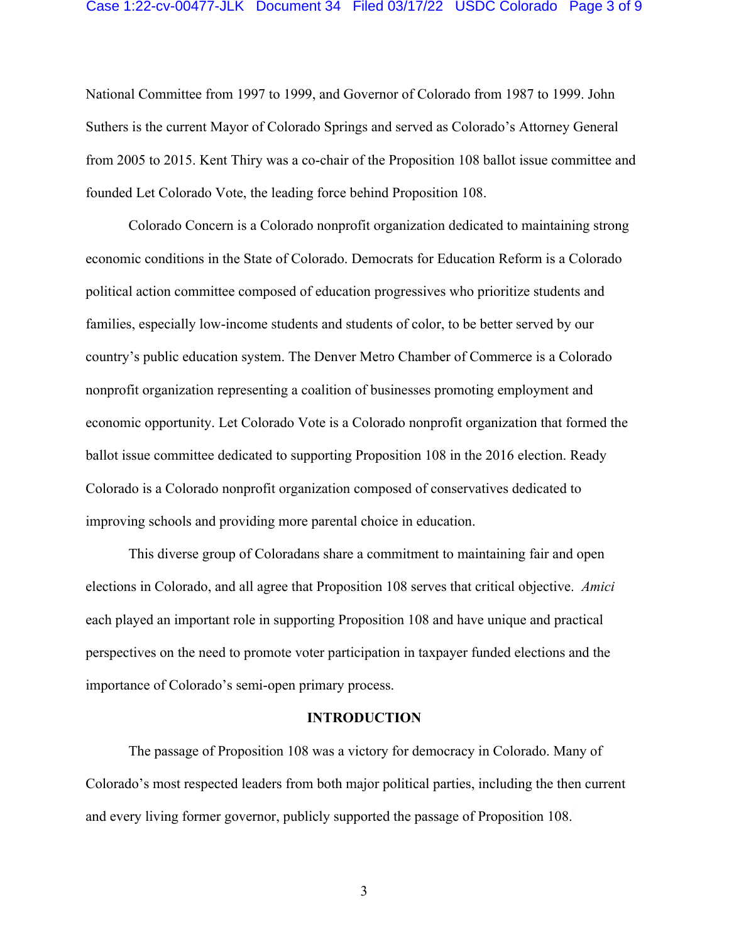### Case 1:22-cv-00477-JLK Document 34 Filed 03/17/22 USDC Colorado Page 3 of 9

National Committee from 1997 to 1999, and Governor of Colorado from 1987 to 1999. John Suthers is the current Mayor of Colorado Springs and served as Colorado's Attorney General from 2005 to 2015. Kent Thiry was a co-chair of the Proposition 108 ballot issue committee and founded Let Colorado Vote, the leading force behind Proposition 108.

Colorado Concern is a Colorado nonprofit organization dedicated to maintaining strong economic conditions in the State of Colorado. Democrats for Education Reform is a Colorado political action committee composed of education progressives who prioritize students and families, especially low-income students and students of color, to be better served by our country's public education system. The Denver Metro Chamber of Commerce is a Colorado nonprofit organization representing a coalition of businesses promoting employment and economic opportunity. Let Colorado Vote is a Colorado nonprofit organization that formed the ballot issue committee dedicated to supporting Proposition 108 in the 2016 election. Ready Colorado is a Colorado nonprofit organization composed of conservatives dedicated to improving schools and providing more parental choice in education.

This diverse group of Coloradans share a commitment to maintaining fair and open elections in Colorado, and all agree that Proposition 108 serves that critical objective. *Amici* each played an important role in supporting Proposition 108 and have unique and practical perspectives on the need to promote voter participation in taxpayer funded elections and the importance of Colorado's semi-open primary process.

#### **INTRODUCTION**

The passage of Proposition 108 was a victory for democracy in Colorado. Many of Colorado's most respected leaders from both major political parties, including the then current and every living former governor, publicly supported the passage of Proposition 108.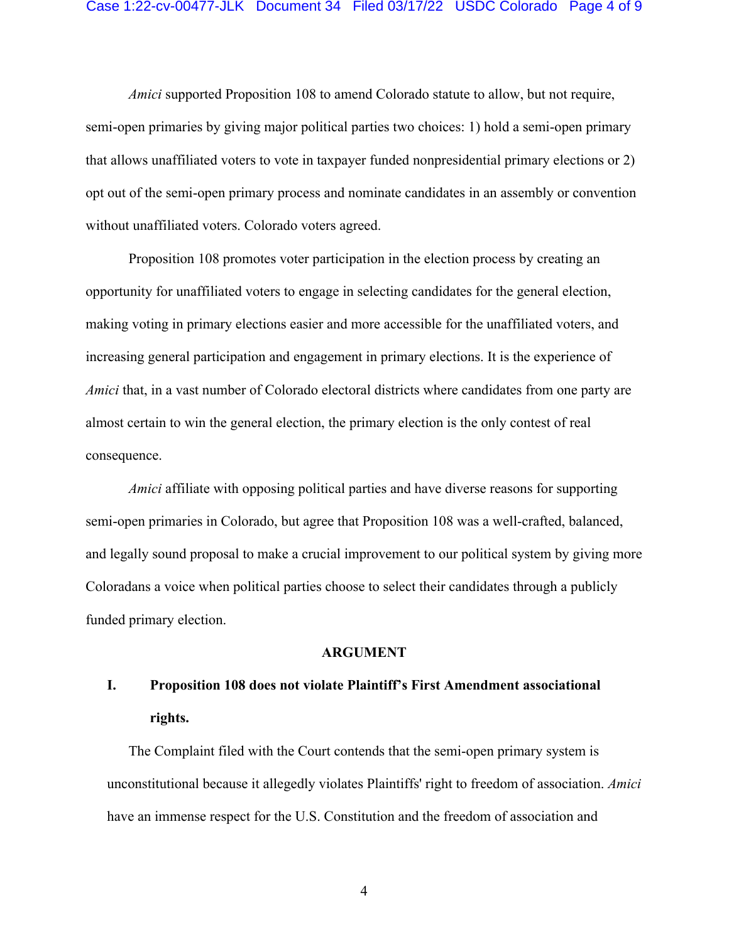### Case 1:22-cv-00477-JLK Document 34 Filed 03/17/22 USDC Colorado Page 4 of 9

*Amici* supported Proposition 108 to amend Colorado statute to allow, but not require, semi-open primaries by giving major political parties two choices: 1) hold a semi-open primary that allows unaffiliated voters to vote in taxpayer funded nonpresidential primary elections or 2) opt out of the semi-open primary process and nominate candidates in an assembly or convention without unaffiliated voters. Colorado voters agreed.

Proposition 108 promotes voter participation in the election process by creating an opportunity for unaffiliated voters to engage in selecting candidates for the general election, making voting in primary elections easier and more accessible for the unaffiliated voters, and increasing general participation and engagement in primary elections. It is the experience of *Amici* that, in a vast number of Colorado electoral districts where candidates from one party are almost certain to win the general election, the primary election is the only contest of real consequence.

*Amici* affiliate with opposing political parties and have diverse reasons for supporting semi-open primaries in Colorado, but agree that Proposition 108 was a well-crafted, balanced, and legally sound proposal to make a crucial improvement to our political system by giving more Coloradans a voice when political parties choose to select their candidates through a publicly funded primary election.

#### **ARGUMENT**

# **I. Proposition 108 does not violate Plaintiff's First Amendment associational rights.**

The Complaint filed with the Court contends that the semi-open primary system is unconstitutional because it allegedly violates Plaintiffs' right to freedom of association. *Amici* have an immense respect for the U.S. Constitution and the freedom of association and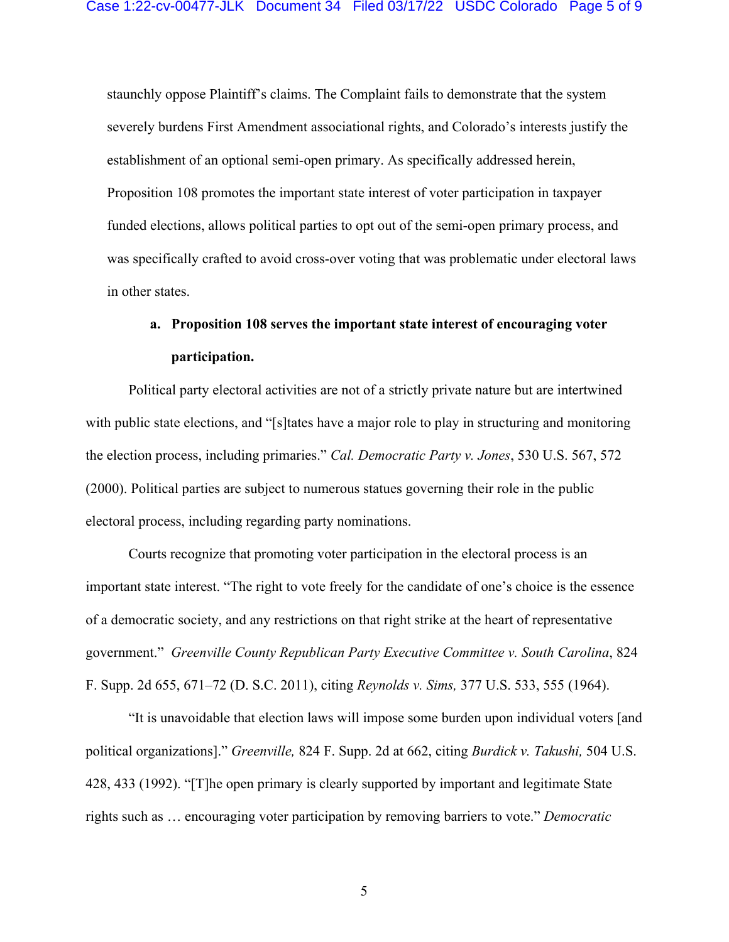staunchly oppose Plaintiff's claims. The Complaint fails to demonstrate that the system severely burdens First Amendment associational rights, and Colorado's interests justify the establishment of an optional semi-open primary. As specifically addressed herein, Proposition 108 promotes the important state interest of voter participation in taxpayer funded elections, allows political parties to opt out of the semi-open primary process, and was specifically crafted to avoid cross-over voting that was problematic under electoral laws in other states.

# **a. Proposition 108 serves the important state interest of encouraging voter participation.**

Political party electoral activities are not of a strictly private nature but are intertwined with public state elections, and "[s]tates have a major role to play in structuring and monitoring the election process, including primaries." *Cal. Democratic Party v. Jones*, 530 U.S. 567, 572 (2000). Political parties are subject to numerous statues governing their role in the public electoral process, including regarding party nominations.

Courts recognize that promoting voter participation in the electoral process is an important state interest. "The right to vote freely for the candidate of one's choice is the essence of a democratic society, and any restrictions on that right strike at the heart of representative government." *Greenville County Republican Party Executive Committee v. South Carolina*, 824 F. Supp. 2d 655, 671–72 (D. S.C. 2011), citing *Reynolds v. Sims,* 377 U.S. 533, 555 (1964).

"It is unavoidable that election laws will impose some burden upon individual voters [and political organizations]." *Greenville,* 824 F. Supp. 2d at 662, citing *Burdick v. Takushi,* 504 U.S. 428, 433 (1992). "[T]he open primary is clearly supported by important and legitimate State rights such as … encouraging voter participation by removing barriers to vote." *Democratic*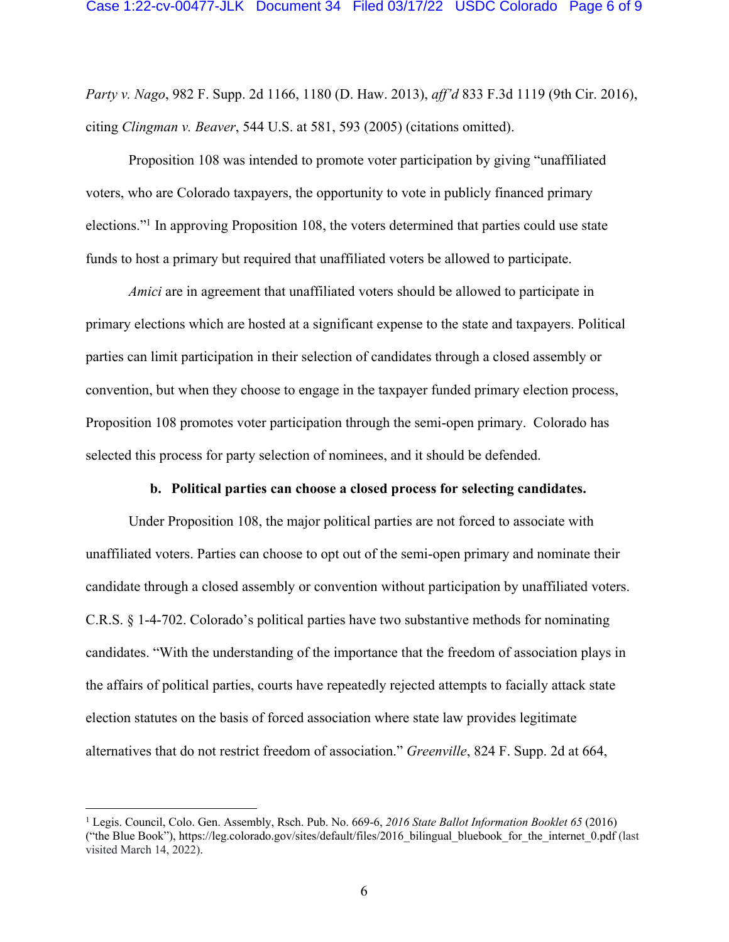*Party v. Nago*, 982 F. Supp. 2d 1166, 1180 (D. Haw. 2013), *aff'd* 833 F.3d 1119 (9th Cir. 2016), citing *Clingman v. Beaver*, 544 U.S. at 581, 593 (2005) (citations omitted).

Proposition 108 was intended to promote voter participation by giving "unaffiliated voters, who are Colorado taxpayers, the opportunity to vote in publicly financed primary elections."1 In approving Proposition 108, the voters determined that parties could use state funds to host a primary but required that unaffiliated voters be allowed to participate.

*Amici* are in agreement that unaffiliated voters should be allowed to participate in primary elections which are hosted at a significant expense to the state and taxpayers. Political parties can limit participation in their selection of candidates through a closed assembly or convention, but when they choose to engage in the taxpayer funded primary election process, Proposition 108 promotes voter participation through the semi-open primary. Colorado has selected this process for party selection of nominees, and it should be defended.

### **b. Political parties can choose a closed process for selecting candidates.**

Under Proposition 108, the major political parties are not forced to associate with unaffiliated voters. Parties can choose to opt out of the semi-open primary and nominate their candidate through a closed assembly or convention without participation by unaffiliated voters. C.R.S. § 1-4-702. Colorado's political parties have two substantive methods for nominating candidates. "With the understanding of the importance that the freedom of association plays in the affairs of political parties, courts have repeatedly rejected attempts to facially attack state election statutes on the basis of forced association where state law provides legitimate alternatives that do not restrict freedom of association." *Greenville*, 824 F. Supp. 2d at 664,

<sup>1</sup> Legis. Council, Colo. Gen. Assembly, Rsch. Pub. No. 669-6, *2016 State Ballot Information Booklet 65* (2016) ("the Blue Book"), https://leg.colorado.gov/sites/default/files/2016\_bilingual\_bluebook\_for\_the\_internet\_0.pdf (last visited March 14, 2022).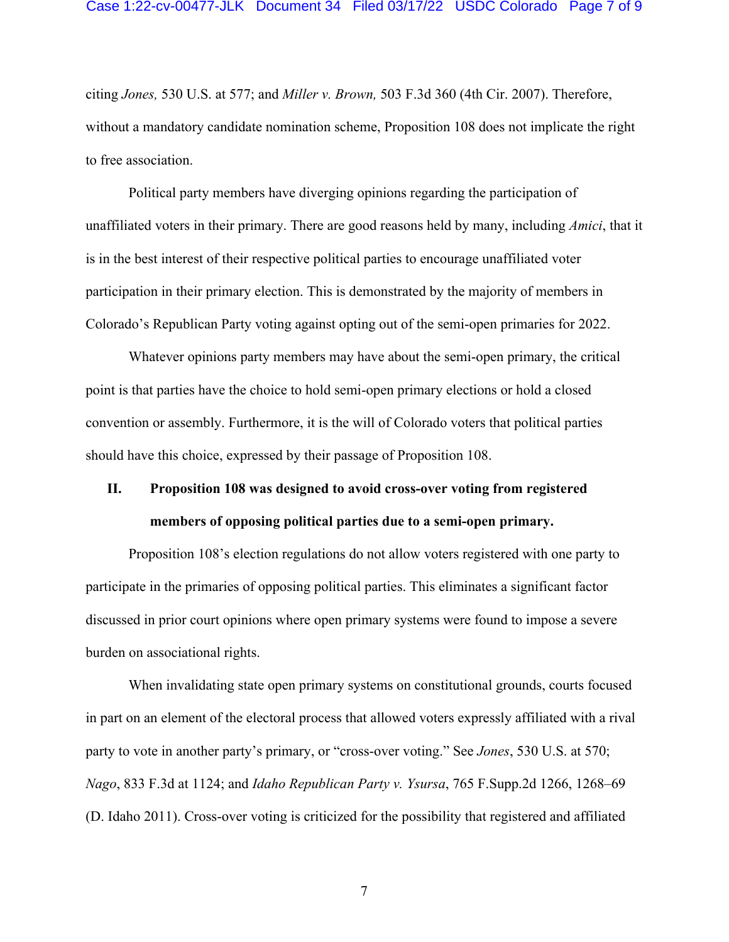citing *Jones,* 530 U.S. at 577; and *Miller v. Brown,* 503 F.3d 360 (4th Cir. 2007). Therefore, without a mandatory candidate nomination scheme, Proposition 108 does not implicate the right to free association.

Political party members have diverging opinions regarding the participation of unaffiliated voters in their primary. There are good reasons held by many, including *Amici*, that it is in the best interest of their respective political parties to encourage unaffiliated voter participation in their primary election. This is demonstrated by the majority of members in Colorado's Republican Party voting against opting out of the semi-open primaries for 2022.

Whatever opinions party members may have about the semi-open primary, the critical point is that parties have the choice to hold semi-open primary elections or hold a closed convention or assembly. Furthermore, it is the will of Colorado voters that political parties should have this choice, expressed by their passage of Proposition 108.

# **II. Proposition 108 was designed to avoid cross-over voting from registered members of opposing political parties due to a semi-open primary.**

Proposition 108's election regulations do not allow voters registered with one party to participate in the primaries of opposing political parties. This eliminates a significant factor discussed in prior court opinions where open primary systems were found to impose a severe burden on associational rights.

When invalidating state open primary systems on constitutional grounds, courts focused in part on an element of the electoral process that allowed voters expressly affiliated with a rival party to vote in another party's primary, or "cross-over voting." See *Jones*, 530 U.S. at 570; *Nago*, 833 F.3d at 1124; and *Idaho Republican Party v. Ysursa*, 765 F.Supp.2d 1266, 1268–69 (D. Idaho 2011). Cross-over voting is criticized for the possibility that registered and affiliated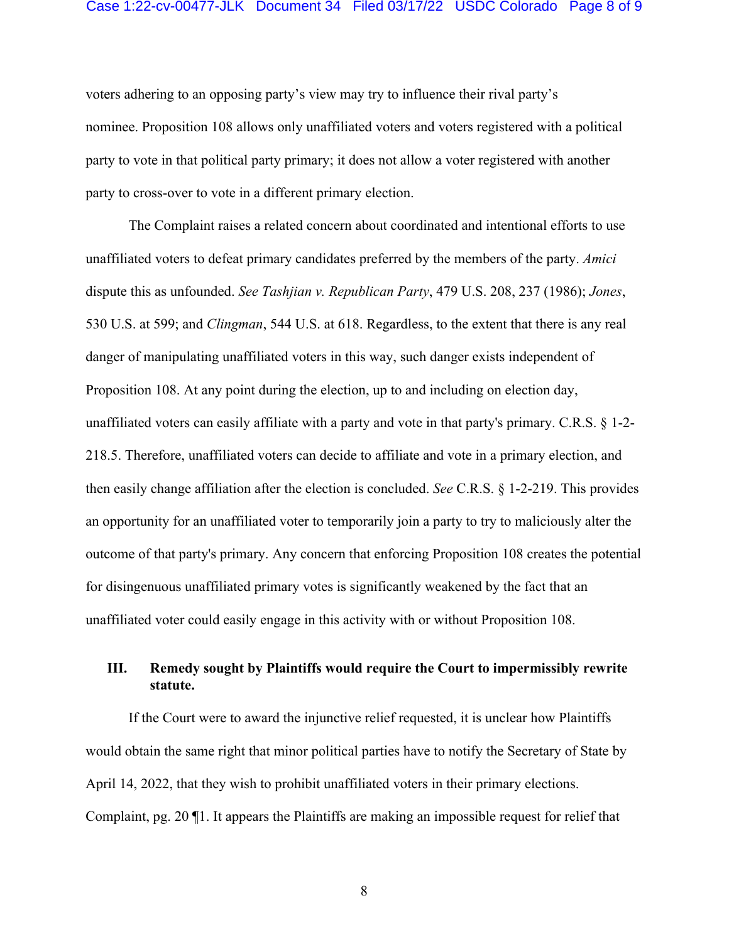### Case 1:22-cv-00477-JLK Document 34 Filed 03/17/22 USDC Colorado Page 8 of 9

voters adhering to an opposing party's view may try to influence their rival party's nominee. Proposition 108 allows only unaffiliated voters and voters registered with a political party to vote in that political party primary; it does not allow a voter registered with another party to cross-over to vote in a different primary election.

The Complaint raises a related concern about coordinated and intentional efforts to use unaffiliated voters to defeat primary candidates preferred by the members of the party. *Amici* dispute this as unfounded. *See Tashjian v. Republican Party*, 479 U.S. 208, 237 (1986); *Jones*, 530 U.S. at 599; and *Clingman*, 544 U.S. at 618. Regardless, to the extent that there is any real danger of manipulating unaffiliated voters in this way, such danger exists independent of Proposition 108. At any point during the election, up to and including on election day, unaffiliated voters can easily affiliate with a party and vote in that party's primary. C.R.S. § 1-2- 218.5. Therefore, unaffiliated voters can decide to affiliate and vote in a primary election, and then easily change affiliation after the election is concluded. *See* C.R.S. § 1-2-219. This provides an opportunity for an unaffiliated voter to temporarily join a party to try to maliciously alter the outcome of that party's primary. Any concern that enforcing Proposition 108 creates the potential for disingenuous unaffiliated primary votes is significantly weakened by the fact that an unaffiliated voter could easily engage in this activity with or without Proposition 108.

## **III. Remedy sought by Plaintiffs would require the Court to impermissibly rewrite statute.**

If the Court were to award the injunctive relief requested, it is unclear how Plaintiffs would obtain the same right that minor political parties have to notify the Secretary of State by April 14, 2022, that they wish to prohibit unaffiliated voters in their primary elections. Complaint, pg. 20 ¶1. It appears the Plaintiffs are making an impossible request for relief that